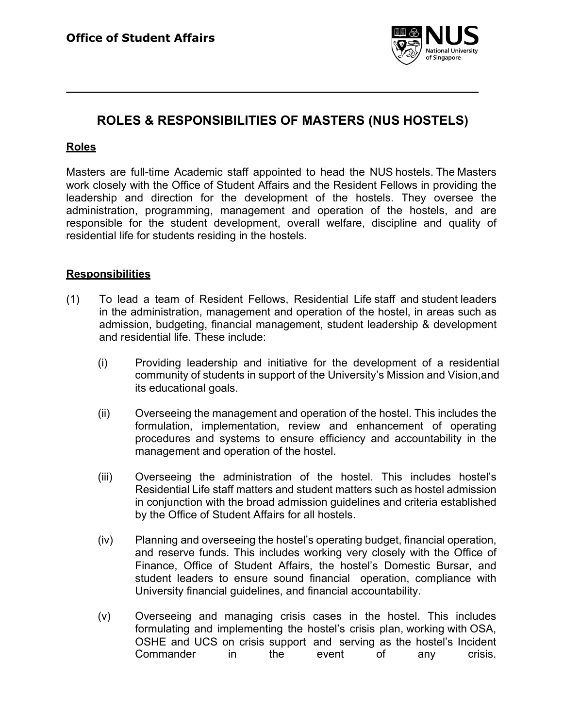

# **ROLES & RESPONSIBILITIES OF MASTERS (NUS HOSTELS)**

# **Roles**

Masters are full-time Academic staff appointed to head the NUS hostels. The Masters work closely with the Office of Student Affairs and the Resident Fellows in providing the leadership and direction for the development of the hostels. They oversee the administration, programming, management and operation of the hostels, and are responsible for the student development, overall welfare, discipline and quality of residential life for students residing in the hostels.

#### **Responsibilities**

- (1) To lead a team of Resident Fellows, Residential Life staff and student leaders in the administration, management and operation of the hostel, in areas such as admission, budgeting, financial management, student leadership & development and residential life. These include:
	- (i) Providing leadership and initiative for the development of a residential community of students in support of the University's Mission and Vision,and its educational goals.
	- (ii) Overseeing the management and operation of the hostel. This includes the formulation, implementation, review and enhancement of operating procedures and systems to ensure efficiency and accountability in the management and operation of the hostel.
	- (iii) Overseeing the administration of the hostel. This includes hostel's Residential Life staff matters and student matters such as hostel admission in conjunction with the broad admission guidelines and criteria established by the Office of Student Affairs for all hostels.
	- (iv) Planning and overseeing the hostel's operating budget, financial operation, and reserve funds. This includes working very closely with the Office of Finance, Office of Student Affairs, the hostel's Domestic Bursar, and student leaders to ensure sound financial operation, compliance with University financial guidelines, and financial accountability.
	- (v) Overseeing and managing crisis cases in the hostel. This includes formulating and implementing the hostel's crisis plan, working with OSA, OSHE and UCS on crisis support and serving as the hostel's Incident Commander in the event of any crisis.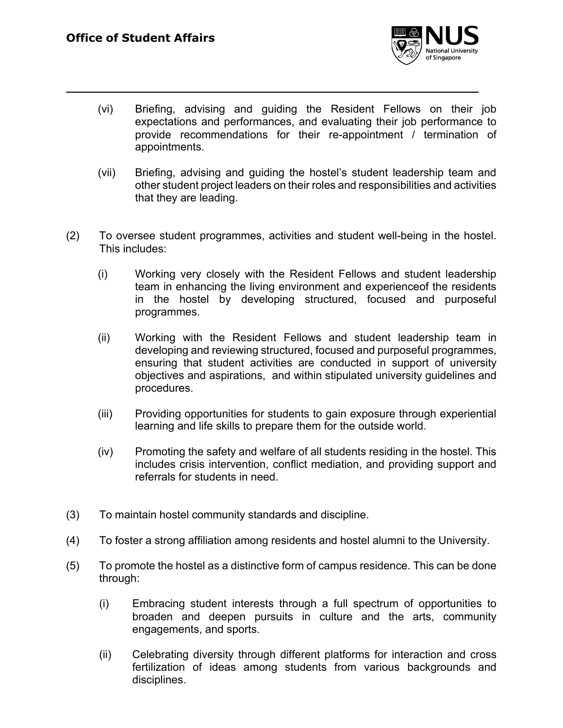

- (vi) Briefing, advising and guiding the Resident Fellows on their job expectations and performances, and evaluating their job performance to provide recommendations for their re-appointment / termination of appointments.
- (vii) Briefing, advising and guiding the hostel's student leadership team and other student project leaders on their roles and responsibilities and activities that they are leading.
- (2) To oversee student programmes, activities and student well-being in the hostel. This includes:
	- (i) Working very closely with the Resident Fellows and student leadership team in enhancing the living environment and experienceof the residents in the hostel by developing structured, focused and purposeful programmes.
	- (ii) Working with the Resident Fellows and student leadership team in developing and reviewing structured, focused and purposeful programmes, ensuring that student activities are conducted in support of university objectives and aspirations, and within stipulated university guidelines and procedures.
	- (iii) Providing opportunities for students to gain exposure through experiential learning and life skills to prepare them for the outside world.
	- (iv) Promoting the safety and welfare of all students residing in the hostel. This includes crisis intervention, conflict mediation, and providing support and referrals for students in need.
- (3) To maintain hostel community standards and discipline.
- (4) To foster a strong affiliation among residents and hostel alumni to the University.
- (5) To promote the hostel as a distinctive form of campus residence. This can be done through:
	- (i) Embracing student interests through a full spectrum of opportunities to broaden and deepen pursuits in culture and the arts, community engagements, and sports.
	- (ii) Celebrating diversity through different platforms for interaction and cross fertilization of ideas among students from various backgrounds and disciplines.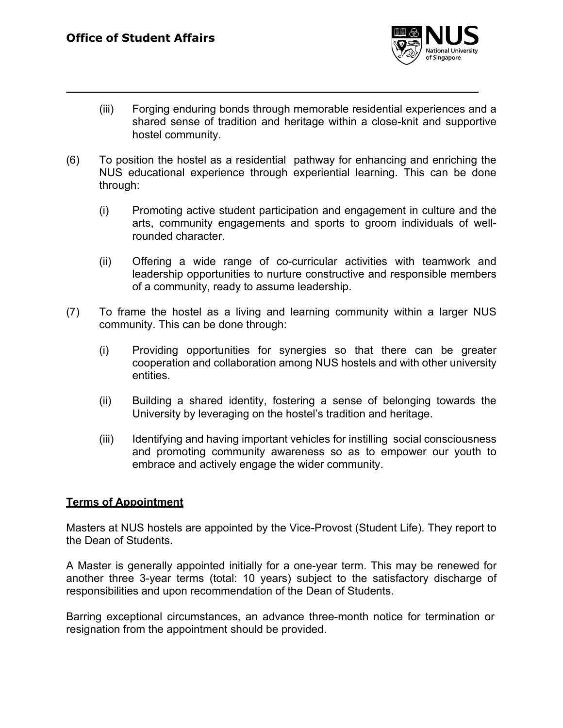

- (iii) Forging enduring bonds through memorable residential experiences and a shared sense of tradition and heritage within a close-knit and supportive hostel community.
- (6) To position the hostel as a residential pathway for enhancing and enriching the NUS educational experience through experiential learning. This can be done through:
	- (i) Promoting active student participation and engagement in culture and the arts, community engagements and sports to groom individuals of wellrounded character.
	- (ii) Offering a wide range of co-curricular activities with teamwork and leadership opportunities to nurture constructive and responsible members of a community, ready to assume leadership.
- (7) To frame the hostel as a living and learning community within a larger NUS community. This can be done through:
	- (i) Providing opportunities for synergies so that there can be greater cooperation and collaboration among NUS hostels and with other university entities.
	- (ii) Building a shared identity, fostering a sense of belonging towards the University by leveraging on the hostel's tradition and heritage.
	- (iii) Identifying and having important vehicles for instilling social consciousness and promoting community awareness so as to empower our youth to embrace and actively engage the wider community.

# **Terms of Appointment**

Masters at NUS hostels are appointed by the Vice-Provost (Student Life). They report to the Dean of Students.

A Master is generally appointed initially for a one-year term. This may be renewed for another three 3-year terms (total: 10 years) subject to the satisfactory discharge of responsibilities and upon recommendation of the Dean of Students.

Barring exceptional circumstances, an advance three-month notice for termination or resignation from the appointment should be provided.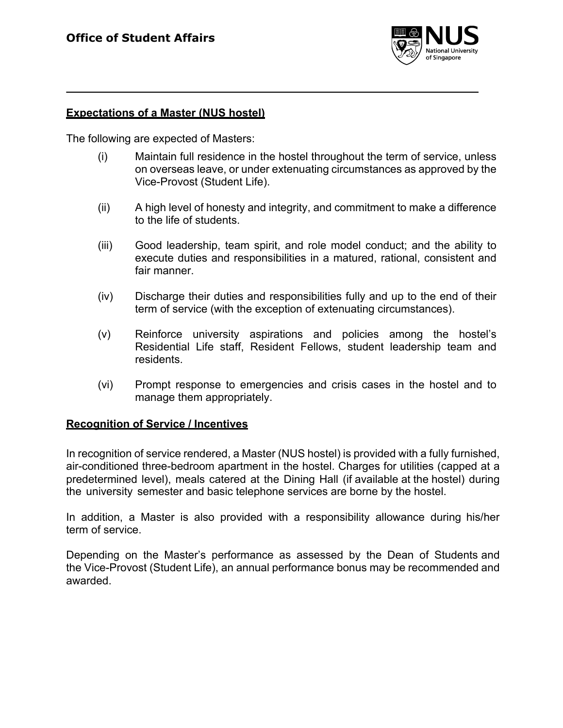

#### **Expectations of a Master (NUS hostel)**

The following are expected of Masters:

- (i) Maintain full residence in the hostel throughout the term of service, unless on overseas leave, or under extenuating circumstances as approved by the Vice-Provost (Student Life).
- (ii) A high level of honesty and integrity, and commitment to make a difference to the life of students.
- (iii) Good leadership, team spirit, and role model conduct; and the ability to execute duties and responsibilities in a matured, rational, consistent and fair manner.
- (iv) Discharge their duties and responsibilities fully and up to the end of their term of service (with the exception of extenuating circumstances).
- (v) Reinforce university aspirations and policies among the hostel's Residential Life staff, Resident Fellows, student leadership team and residents.
- (vi) Prompt response to emergencies and crisis cases in the hostel and to manage them appropriately.

#### **Recognition of Service / Incentives**

In recognition of service rendered, a Master (NUS hostel) is provided with a fully furnished, air-conditioned three-bedroom apartment in the hostel. Charges for utilities (capped at a predetermined level), meals catered at the Dining Hall (if available at the hostel) during the university semester and basic telephone services are borne by the hostel.

In addition, a Master is also provided with a responsibility allowance during his/her term of service.

Depending on the Master's performance as assessed by the Dean of Students and the Vice-Provost (Student Life), an annual performance bonus may be recommended and awarded.